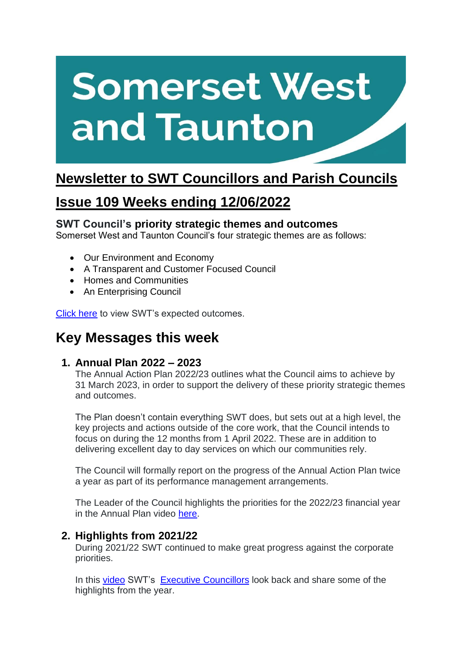# **Somerset West** and Taunton

## **Newsletter to SWT Councillors and Parish Councils**

## **Issue 109 Weeks ending 12/06/2022**

#### **SWT Council's priority strategic themes and outcomes**

Somerset West and Taunton Council's four strategic themes are as follows:

- Our Environment and Economy
- A Transparent and Customer Focused Council
- Homes and Communities
- An Enterprising Council

[Click here](https://www.somersetwestandtaunton.gov.uk/your-council/corporate-strategy/) to view SWT's expected outcomes.

## **Key Messages this week**

#### **1. Annual Plan 2022 – 2023**

The Annual Action Plan 2022/23 outlines what the Council aims to achieve by 31 March 2023, in order to support the delivery of these priority strategic themes and outcomes.

The Plan doesn't contain everything SWT does, but sets out at a high level, the key projects and actions outside of the core work, that the Council intends to focus on during the 12 months from 1 April 2022. These are in addition to delivering excellent day to day services on which our communities rely.

The Council will formally report on the progress of the Annual Action Plan twice a year as part of its performance management arrangements.

The Leader of the Council highlights the priorities for the 2022/23 financial year in the Annual Plan video [here.](https://www.somersetwestandtaunton.gov.uk/your-council/annual-plan/)

#### **2. Highlights from 2021/22**

During 2021/22 SWT continued to make great progress against the corporate priorities.

In this [video](https://www.somersetwestandtaunton.gov.uk/your-council/annual-plan/) SWT's [Executive Councillors](https://democracy.somersetwestandtaunton.gov.uk/mgCommitteeDetails.aspx?ID=326) look back and share some of the highlights from the year.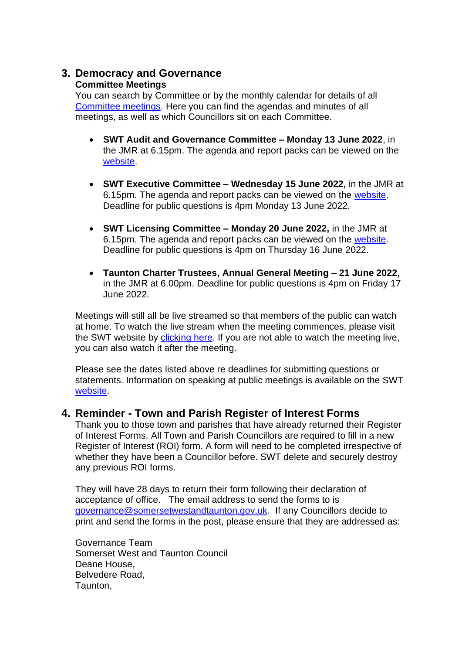#### **3. Democracy and Governance Committee Meetings**

You can search by Committee or by the monthly calendar for details of all [Committee meetings.](https://www.somersetwestandtaunton.gov.uk/your-council/council-meetings/) Here you can find the agendas and minutes of all meetings, as well as which Councillors sit on each Committee.

- **SWT Audit and Governance Committee – Monday 13 June 2022**, in the JMR at 6.15pm. The agenda and report packs can be viewed on the [website.](https://democracy.somersetwestandtaunton.gov.uk/ieListDocuments.aspx?CId=455&MId=3029)
- **SWT Executive Committee – Wednesday 15 June 2022,** in the JMR at 6.15pm. The agenda and report packs can be viewed on the [website.](https://democracy.somersetwestandtaunton.gov.uk/ieListDocuments.aspx?MId=3043&x=1) Deadline for public questions is 4pm Monday 13 June 2022.
- **SWT Licensing Committee – Monday 20 June 2022,** in the JMR at 6.15pm. The agenda and report packs can be viewed on the [website.](https://democracy.somersetwestandtaunton.gov.uk/ieListDocuments.aspx?CId=329&MId=3033) Deadline for public questions is 4pm on Thursday 16 June 2022.
- **Taunton Charter Trustees, Annual General Meeting – 21 June 2022,**  in the JMR at 6.00pm. Deadline for public questions is 4pm on Friday 17 June 2022.

Meetings will still all be live streamed so that members of the public can watch at home. To watch the live stream when the meeting commences, please visit the SWT website by [clicking here.](https://democracy.somersetwestandtaunton.gov.uk/mgCalendarMonthView.aspx) If you are not able to watch the meeting live, you can also watch it after the meeting.

Please see the dates listed above re deadlines for submitting questions or statements. Information on speaking at public meetings is available on the SWT [website.](https://www.somersetwestandtaunton.gov.uk/your-council/speaking-at-a-council-meeting/)

#### **4. Reminder - Town and Parish Register of Interest Forms**

Thank you to those town and parishes that have already returned their Register of Interest Forms. All Town and Parish Councillors are required to fill in a new Register of Interest (ROI) form. A form will need to be completed irrespective of whether they have been a Councillor before. SWT delete and securely destroy any previous ROI forms.

They will have 28 days to return their form following their declaration of acceptance of office. The email address to send the forms to is [governance@somersetwestandtaunton.gov.uk.](mailto:governance@somersetwestandtaunton.gov.uk) If any Councillors decide to print and send the forms in the post, please ensure that they are addressed as:

Governance Team Somerset West and Taunton Council Deane House, Belvedere Road, Taunton,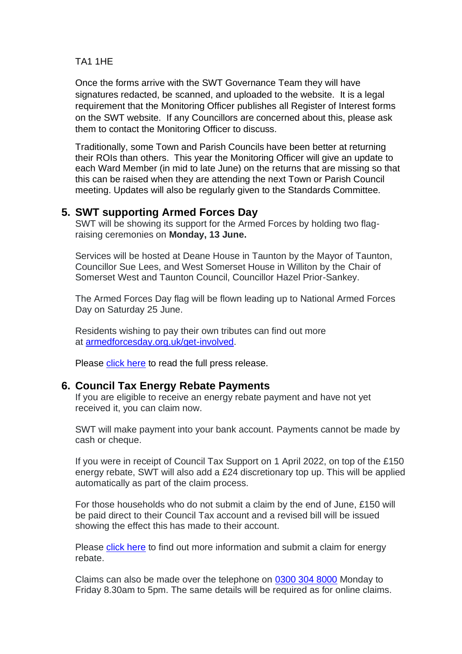#### TA1 1HE

Once the forms arrive with the SWT Governance Team they will have signatures redacted, be scanned, and uploaded to the website. It is a legal requirement that the Monitoring Officer publishes all Register of Interest forms on the SWT website. If any Councillors are concerned about this, please ask them to contact the Monitoring Officer to discuss.

Traditionally, some Town and Parish Councils have been better at returning their ROIs than others. This year the Monitoring Officer will give an update to each Ward Member (in mid to late June) on the returns that are missing so that this can be raised when they are attending the next Town or Parish Council meeting. Updates will also be regularly given to the Standards Committee.

#### **5. SWT supporting Armed Forces Day**

SWT will be showing its support for the Armed Forces by holding two flagraising ceremonies on **Monday, 13 June.**

Services will be hosted at Deane House in Taunton by the Mayor of Taunton, Councillor Sue Lees, and West Somerset House in Williton by the Chair of Somerset West and Taunton Council, Councillor Hazel Prior-Sankey.

The Armed Forces Day flag will be flown leading up to National Armed Forces Day on Saturday 25 June.

Residents wishing to pay their own tributes can find out more at [armedforcesday.org.uk/get-involved.](https://www.armedforcesday.org.uk/get-involved/)

Please [click here](https://www.somersetwestandtaunton.gov.uk/news/swt-supporting-armed-forces-day/) to read the full press release.

#### **6. Council Tax Energy Rebate Payments**

If you are eligible to receive an energy rebate payment and have not yet received it, you can claim now.

SWT will make payment into your bank account. Payments cannot be made by cash or cheque.

If you were in receipt of Council Tax Support on 1 April 2022, on top of the £150 energy rebate, SWT will also add a £24 discretionary top up. This will be applied automatically as part of the claim process.

For those households who do not submit a claim by the end of June, £150 will be paid direct to their Council Tax account and a revised bill will be issued showing the effect this has made to their account.

Please [click here](https://www.somersetwestandtaunton.gov.uk/council-tax/energy-support-payments/?fbclid=IwAR08cUQjDa5oBz1epvMZWu2m8-3FZakSZ2ObHxEM0UEB7AmH0invL1mzHiA) to find out more information and submit a claim for energy rebate.

Claims can also be made over the telephone on [0300 304 8000](tel:03003048000) Monday to Friday 8.30am to 5pm. The same details will be required as for online claims.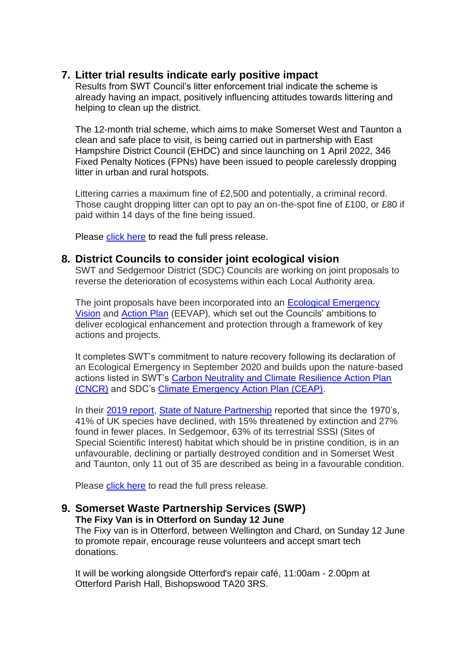#### **7. Litter trial results indicate early positive impact**

Results from SWT Council's litter enforcement trial indicate the scheme is already having an impact, positively influencing attitudes towards littering and helping to clean up the district.

The 12-month trial scheme, which aims to make Somerset West and Taunton a clean and safe place to visit, is being carried out in partnership with East Hampshire District Council (EHDC) and since launching on 1 April 2022, 346 Fixed Penalty Notices (FPNs) have been issued to people carelessly dropping litter in urban and rural hotspots.

Littering carries a maximum fine of £2,500 and potentially, a criminal record. Those caught dropping litter can opt to pay an on-the-spot fine of £100, or £80 if paid within 14 days of the fine being issued.

Please [click here](https://www.somersetwestandtaunton.gov.uk/news/litter-trial-results-indicate-early-positive-impact/) to read the full press release.

#### **8. District Councils to consider joint ecological vision**

SWT and Sedgemoor District (SDC) Councils are working on joint proposals to reverse the deterioration of ecosystems within each Local Authority area.

The joint proposals have been incorporated into an [Ecological Emergency](https://democracy.somersetwestandtaunton.gov.uk/documents/s19566/Appendix%20A%20-%20Ecological%20Emergency%20Vision.pdf)  [Vision](https://democracy.somersetwestandtaunton.gov.uk/documents/s19566/Appendix%20A%20-%20Ecological%20Emergency%20Vision.pdf) and [Action Plan](https://democracy.somersetwestandtaunton.gov.uk/documents/s19567/Appendix%20B%20-%20Ecological%20Emergency%20Action%20Plan.pdf) (EEVAP)*,* which set out the Councils' ambitions to deliver ecological enhancement and protection through a framework of key actions and projects.

It completes SWT's commitment to nature recovery following its declaration of an Ecological Emergency in September 2020 and builds upon the nature-based actions listed in SWT's [Carbon Neutrality and Climate Resilience Action Plan](https://www.somersetwestandtaunton.gov.uk/media/2429/carbon-neutrality-and-climate-resilience-plan.pdf)  [\(CNCR\)](https://www.somersetwestandtaunton.gov.uk/media/2429/carbon-neutrality-and-climate-resilience-plan.pdf) and SDC's [Climate Emergency Action Plan \(CEAP\).](https://www.sedgemoor.gov.uk/article/4093/Climate-Change)

In their [2019 report,](https://nbn.org.uk/wp-content/uploads/2019/09/State-of-Nature-2019-UK-full-report.pdf) [State of Nature Partnership](https://nbn.org.uk/stateofnature2019/) reported that since the 1970's, 41% of UK species have declined, with 15% threatened by extinction and 27% found in fewer places. In Sedgemoor, 63% of its terrestrial SSSI (Sites of Special Scientific Interest) habitat which should be in pristine condition, is in an unfavourable, declining or partially destroyed condition and in Somerset West and Taunton, only 11 out of 35 are described as being in a favourable condition.

Please [click here](https://www.somersetwestandtaunton.gov.uk/news/district-councils-to-consider-joint-ecological-vision/) to read the full press release.

## **9. Somerset Waste Partnership Services (SWP)**

**The Fixy Van is in Otterford on Sunday 12 June**

The Fixy van is in Otterford, between Wellington and Chard, on Sunday 12 June to promote repair, encourage reuse volunteers and accept smart tech donations.

It will be working alongside Otterford's repair café, 11:00am - 2.00pm at Otterford Parish Hall, Bishopswood TA20 3RS.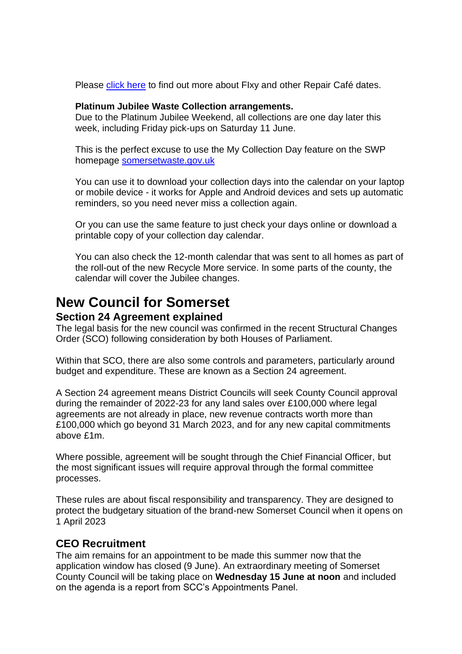Please [click here](https://www.somersetwaste.gov.uk/share-and-repair/?fbclid=IwAR36UHrvhREkUPXcmHLmCTW5mgNt3DtPRPc9M3lKBExrX1V62iffBM-ubFI) to find out more about FIxy and other Repair Café dates.

#### **Platinum Jubilee Waste Collection arrangements.**

Due to the Platinum Jubilee Weekend, all collections are one day later this week, including Friday pick-ups on Saturday 11 June.

This is the perfect excuse to use the My Collection Day feature on the SWP homepage [somersetwaste.gov.uk](https://www.somersetwaste.gov.uk/)

You can use it to download your collection days into the calendar on your laptop or mobile device - it works for Apple and Android devices and sets up automatic reminders, so you need never miss a collection again.

Or you can use the same feature to just check your days online or download a printable copy of your collection day calendar.

You can also check the 12-month calendar that was sent to all homes as part of the roll-out of the new Recycle More service. In some parts of the county, the calendar will cover the Jubilee changes.

## **New Council for Somerset**

#### **Section 24 Agreement explained**

The legal basis for the new council was confirmed in the recent Structural Changes Order (SCO) following consideration by both Houses of Parliament.

Within that SCO, there are also some controls and parameters, particularly around budget and expenditure. These are known as a Section 24 agreement.

A Section 24 agreement means District Councils will seek County Council approval during the remainder of 2022-23 for any land sales over £100,000 where legal agreements are not already in place, new revenue contracts worth more than £100,000 which go beyond 31 March 2023, and for any new capital commitments above £1m.

Where possible, agreement will be sought through the Chief Financial Officer, but the most significant issues will require approval through the formal committee processes.

These rules are about fiscal responsibility and transparency. They are designed to protect the budgetary situation of the brand-new Somerset Council when it opens on 1 April 2023

#### **CEO Recruitment**

The aim remains for an appointment to be made this summer now that the application window has closed (9 June). An extraordinary meeting of Somerset County Council will be taking place on **Wednesday 15 June at noon** and included on the agenda is a report from SCC's Appointments Panel.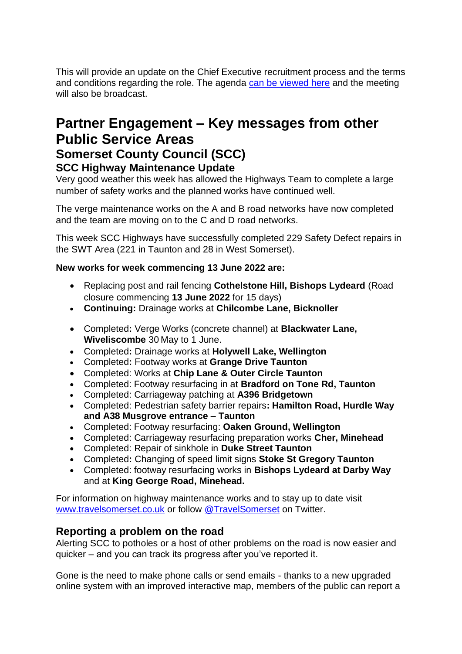This will provide an update on the Chief Executive recruitment process and the terms and conditions regarding the role. The agenda can be [viewed](https://eur01.safelinks.protection.outlook.com/?url=https%3A%2F%2Fdemocracy.somerset.gov.uk%2FieListDocuments.aspx%3FCId%3D137%26MId%3D1641&data=05%7C01%7CTBomanBehram%40somerset.gov.uk%7C08c804fdaa7f4b5468fb08da49f1df6c%7Cb524f606f77a4aa28da2fe70343b0cce%7C0%7C0%7C637903601019008432%7CUnknown%7CTWFpbGZsb3d8eyJWIjoiMC4wLjAwMDAiLCJQIjoiV2luMzIiLCJBTiI6Ik1haWwiLCJXVCI6Mn0%3D%7C3000%7C%7C%7C&sdata=YFqTdgw%2Fy0OZHoZv%2BQzU3hgLmiDxtE0zI8v0Fd79H18%3D&reserved=0) here and the meeting will also be broadcast.

## **Partner Engagement – Key messages from other Public Service Areas Somerset County Council (SCC) SCC Highway Maintenance Update**

Very good weather this week has allowed the Highways Team to complete a large number of safety works and the planned works have continued well.

The verge maintenance works on the A and B road networks have now completed and the team are moving on to the C and D road networks.

This week SCC Highways have successfully completed 229 Safety Defect repairs in the SWT Area (221 in Taunton and 28 in West Somerset).

#### **New works for week commencing 13 June 2022 are:**

- Replacing post and rail fencing **Cothelstone Hill, Bishops Lydeard** (Road closure commencing **13 June 2022** for 15 days)
- **Continuing:** Drainage works at **Chilcombe Lane, Bicknoller**
- Completed**:** Verge Works (concrete channel) at **Blackwater Lane, Wiveliscombe** 30 May to 1 June.
- Completed**:** Drainage works at **Holywell Lake, Wellington**
- Completed**:** Footway works at **Grange Drive Taunton**
- Completed: Works at **Chip Lane & Outer Circle Taunton**
- Completed: Footway resurfacing in at **Bradford on Tone Rd, Taunton**
- Completed: Carriageway patching at **A396 Bridgetown**
- Completed: Pedestrian safety barrier repairs**: Hamilton Road, Hurdle Way and A38 Musgrove entrance – Taunton**
- Completed: Footway resurfacing: **Oaken Ground, Wellington**
- Completed: Carriageway resurfacing preparation works **Cher, Minehead**
- Completed: Repair of sinkhole in **Duke Street Taunton**
- Completed**:** Changing of speed limit signs **Stoke St Gregory Taunton**
- Completed: footway resurfacing works in **Bishops Lydeard at Darby Way** and at **King George Road, Minehead.**

For information on highway maintenance works and to stay up to date visit [www.travelsomerset.co.uk](http://www.travelsomerset.co.uk/) or follow [@TravelSomerset](https://twitter.com/search?q=%40TravelSomerset&src=recent_search_click) on Twitter.

#### **Reporting a problem on the road**

Alerting SCC to potholes or a host of other problems on the road is now easier and quicker – and you can track its progress after you've reported it.

Gone is the need to make phone calls or send emails - thanks to a new upgraded online system with an improved interactive map, members of the public can report a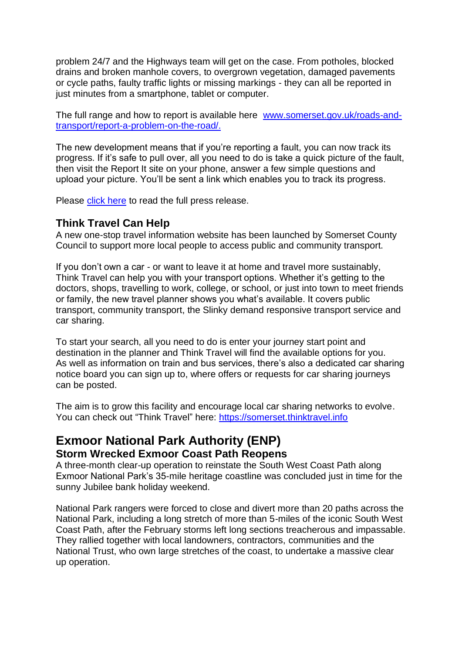problem 24/7 and the Highways team will get on the case. From potholes, blocked drains and broken manhole covers, to overgrown vegetation, damaged pavements or cycle paths, faulty traffic lights or missing markings - they can all be reported in just minutes from a smartphone, tablet or computer.

The full range and how to report is available here [www.somerset.gov.uk/roads-and](http://www.somerset.gov.uk/roads-and-transport/report-a-problem-on-the-road/)[transport/report-a-problem-on-the-road/.](http://www.somerset.gov.uk/roads-and-transport/report-a-problem-on-the-road/)

The new development means that if you're reporting a fault, you can now track its progress. If it's safe to pull over, all you need to do is take a quick picture of the fault, then visit the Report It site on your phone, answer a few simple questions and upload your picture. You'll be sent a link which enables you to track its progress.

Please [click here](https://somersetnewsroom.com/2021/12/13/reporting-a-problem-on-the-road-is-now-a-hole-lot-easier/) to read the full press release.

#### **Think Travel Can Help**

A new one-stop travel information website has been launched by Somerset County Council to support more local people to access public and community transport.

If you don't own a car - or want to leave it at home and travel more sustainably, Think Travel can help you with your transport options. Whether it's getting to the doctors, shops, travelling to work, college, or school, or just into town to meet friends or family, the new travel planner shows you what's available. It covers public transport, community transport, the Slinky demand responsive transport service and car sharing.

To start your search, all you need to do is enter your journey start point and destination in the planner and Think Travel will find the available options for you. As well as information on train and bus services, there's also a dedicated car sharing notice board you can sign up to, where offers or requests for car sharing journeys can be posted.

The aim is to grow this facility and encourage local car sharing networks to evolve. You can check out "Think Travel" here: [https://somerset.thinktravel.info](https://somerset.thinktravel.info/)

## **Exmoor National Park Authority (ENP) Storm Wrecked Exmoor Coast Path Reopens**

A three-month clear-up operation to reinstate the South West Coast Path along Exmoor National Park's 35-mile heritage coastline was concluded just in time for the sunny Jubilee bank holiday weekend.

National Park rangers were forced to close and divert more than 20 paths across the National Park, including a long stretch of more than 5-miles of the iconic South West Coast Path, after the February storms left long sections treacherous and impassable. They rallied together with local landowners, contractors, communities and the National Trust, who own large stretches of the coast, to undertake a massive clear up operation.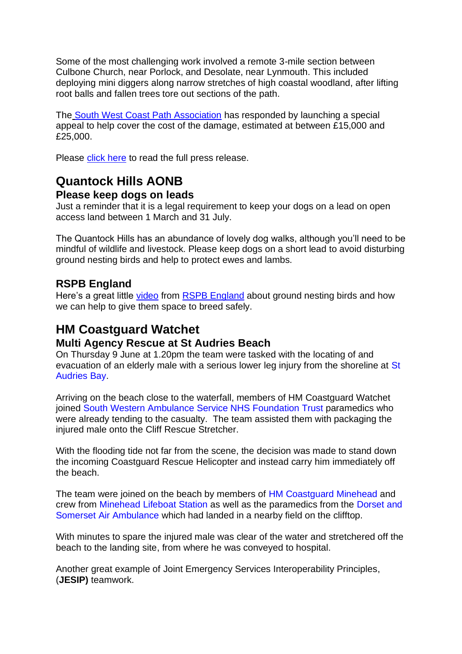Some of the most challenging work involved a remote 3-mile section between Culbone Church, near Porlock, and Desolate, near Lynmouth. This included deploying mini diggers along narrow stretches of high coastal woodland, after lifting root balls and fallen trees tore out sections of the path.

The [South West Coast Path Association](https://r20.rs6.net/tn.jsp?f=001hbXv14rSfg8gUDCVVEZbo-VDmJbj5PEHu1fmru8x619Tzo6cPhqeVAW7hzTeKLkjexbID1b8ddBpwDMu7uD4QG7MWaym-KZ4tQ-hy7DQ7M4GU2QUyqqPFXp0fsfwahu6VwEwLYM-uCh5kUaYAkKDccaRO5Glwh1xO-ulaczzVU6wEvaxJbUZMBHQP1YEzQ9gVa33Cy-JYdPr26gL-sNee_EQj6jnj71FjNjsF_9YQPaPgsz7nRI3Hl5Sna3g-5Hu&c=r7ZBngH02thajPfmfghX8Xpa4NuYjlPQDZXdkpqqpLLbsgpeISLUtA==&ch=BDYC30Q4pf1pCopZXZSnPfL2rZCy5g6mMABdaMup3Wpz8kC51_xNnA==) has responded by launching a special appeal to help cover the cost of the damage, estimated at between £15,000 and £25,000.

Please [click here](https://myemail.constantcontact.com/News-from-Exmoor-National-Park--STORM-WRECKED-EXMOOR-COAST-PATH-REOPENS.html?soid=1102765974837&aid=VSb-R1nObLg) to read the full press release.

## **Quantock Hills AONB**

#### **Please keep dogs on leads**

Just a reminder that it is a legal requirement to keep your dogs on a lead on open access land between 1 March and 31 July.

The Quantock Hills has an abundance of lovely dog walks, although you'll need to be mindful of wildlife and livestock. Please keep dogs on a short lead to avoid disturbing ground nesting birds and help to protect ewes and lambs.

#### **RSPB England**

Here's a great little [video](https://www.facebook.com/watch?v=1276430912878670) from [RSPB England](https://www.facebook.com/RSPBEngland) about ground nesting birds and how we can help to give them space to breed safely.

## **HM Coastguard Watchet**

#### **Multi Agency Rescue at St Audries Beach**

On Thursday 9 June at 1.20pm the team were tasked with the locating of and evacuation of an elderly male with a serious lower leg injury from the shoreline at [St](https://www.facebook.com/St-Audries-Bay-252392108837788/?__cft__%5b0%5d=AZWUrRvaJ17HVktwQ4z79CNHLZylufEqTngedi1vjbPIDRRaGn8d8tv7Z5g75ojqa3YYD5cPPLqXprhXdFbWYFjRJRMNWhSrbTwaFaQFBcdHNrV4xiqnaFeE4UWEw7MnWdu9eA1Nnx3CYweom4uTVT7fjToq9Dpjcimb-46o15uNRA&__tn__=kK-R) [Audries](https://www.facebook.com/St-Audries-Bay-252392108837788/?__cft__%5b0%5d=AZWUrRvaJ17HVktwQ4z79CNHLZylufEqTngedi1vjbPIDRRaGn8d8tv7Z5g75ojqa3YYD5cPPLqXprhXdFbWYFjRJRMNWhSrbTwaFaQFBcdHNrV4xiqnaFeE4UWEw7MnWdu9eA1Nnx3CYweom4uTVT7fjToq9Dpjcimb-46o15uNRA&__tn__=kK-R) Bay.

Arriving on the beach close to the waterfall, members of HM Coastguard Watchet joined South Western Ambulance Service NHS [Foundation](https://www.facebook.com/swasFT/?__cft__%5b0%5d=AZWUrRvaJ17HVktwQ4z79CNHLZylufEqTngedi1vjbPIDRRaGn8d8tv7Z5g75ojqa3YYD5cPPLqXprhXdFbWYFjRJRMNWhSrbTwaFaQFBcdHNrV4xiqnaFeE4UWEw7MnWdu9eA1Nnx3CYweom4uTVT7fjToq9Dpjcimb-46o15uNRA&__tn__=kK-R) Trust paramedics who were already tending to the casualty. The team assisted them with packaging the injured male onto the Cliff Rescue Stretcher.

With the flooding tide not far from the scene, the decision was made to stand down the incoming Coastguard Rescue Helicopter and instead carry him immediately off the beach.

The team were joined on the beach by members of HM [Coastguard](https://www.facebook.com/HMCoastguardMinehead/?__cft__%5b0%5d=AZWUrRvaJ17HVktwQ4z79CNHLZylufEqTngedi1vjbPIDRRaGn8d8tv7Z5g75ojqa3YYD5cPPLqXprhXdFbWYFjRJRMNWhSrbTwaFaQFBcdHNrV4xiqnaFeE4UWEw7MnWdu9eA1Nnx3CYweom4uTVT7fjToq9Dpjcimb-46o15uNRA&__tn__=kK-R) Minehead and crew from [Minehead](https://www.facebook.com/Minehead-Lifeboat-Station-135294299868669/?__cft__%5b0%5d=AZWUrRvaJ17HVktwQ4z79CNHLZylufEqTngedi1vjbPIDRRaGn8d8tv7Z5g75ojqa3YYD5cPPLqXprhXdFbWYFjRJRMNWhSrbTwaFaQFBcdHNrV4xiqnaFeE4UWEw7MnWdu9eA1Nnx3CYweom4uTVT7fjToq9Dpjcimb-46o15uNRA&__tn__=kK-R) Lifeboat Station as well as the paramedics from the [Dorset](https://www.facebook.com/DSAIRAMBULANCE?__cft__%5b0%5d=AZWUrRvaJ17HVktwQ4z79CNHLZylufEqTngedi1vjbPIDRRaGn8d8tv7Z5g75ojqa3YYD5cPPLqXprhXdFbWYFjRJRMNWhSrbTwaFaQFBcdHNrV4xiqnaFeE4UWEw7MnWdu9eA1Nnx3CYweom4uTVT7fjToq9Dpjcimb-46o15uNRA&__tn__=-%5dK-R) and Somerset Air [Ambulance](https://www.facebook.com/DSAIRAMBULANCE?__cft__%5b0%5d=AZWUrRvaJ17HVktwQ4z79CNHLZylufEqTngedi1vjbPIDRRaGn8d8tv7Z5g75ojqa3YYD5cPPLqXprhXdFbWYFjRJRMNWhSrbTwaFaQFBcdHNrV4xiqnaFeE4UWEw7MnWdu9eA1Nnx3CYweom4uTVT7fjToq9Dpjcimb-46o15uNRA&__tn__=-%5dK-R) which had landed in a nearby field on the clifftop.

With minutes to spare the injured male was clear of the water and stretchered off the beach to the landing site, from where he was conveyed to hospital.

Another great example of Joint Emergency Services Interoperability Principles, (**JESIP)** teamwork.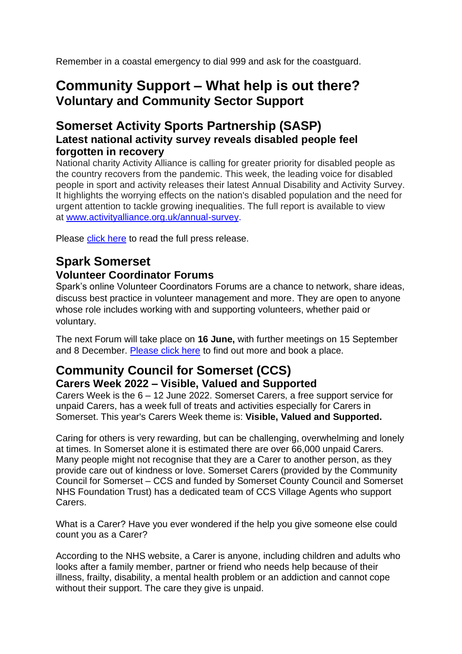Remember in a coastal emergency to dial 999 and ask for the coastguard.

## **Community Support – What help is out there? Voluntary and Community Sector Support**

#### **Somerset Activity Sports Partnership (SASP) Latest national activity survey reveals disabled people feel forgotten in recovery**

National charity Activity Alliance is calling for greater priority for disabled people as the country recovers from the pandemic. This week, the leading voice for disabled people in sport and activity releases their latest Annual Disability and Activity Survey. It highlights the worrying effects on the nation's disabled population and the need for urgent attention to tackle growing inequalities. The full report is available to view at [www.activityalliance.org.uk/annual-survey.](http://www.activityalliance.org.uk/annual-survey)

Please [click here](https://www.sasp.co.uk/news/2022/06/latest-national-activity-survey-reveals-disabled-people-feel-forgotten-in-recovery) to read the full press release.

#### **Spark Somerset Volunteer Coordinator Forums**

Spark's online Volunteer Coordinators Forums are a chance to network, share ideas, discuss best practice in volunteer management and more. They are open to anyone whose role includes working with and supporting volunteers, whether paid or voluntary.

The next Forum will take place on **16 June,** with further meetings on 15 September and 8 December. [Please click here](https://www.eventbrite.co.uk/e/volunteer-coordinator-forum-tickets-251326342857) to find out more and book a place.

### **Community Council for Somerset (CCS) Carers Week 2022 – Visible, Valued and Supported**

Carers Week is the 6 – 12 June 2022. Somerset Carers, a free support service for unpaid Carers, has a week full of treats and activities especially for Carers in Somerset. This year's Carers Week theme is: **Visible, Valued and Supported.**

Caring for others is very rewarding, but can be challenging, overwhelming and lonely at times. In Somerset alone it is estimated there are over 66,000 unpaid Carers. Many people might not recognise that they are a Carer to another person, as they provide care out of kindness or love. Somerset Carers (provided by the Community Council for Somerset – CCS and funded by Somerset County Council and Somerset NHS Foundation Trust) has a dedicated team of CCS Village Agents who support **Carers** 

What is a Carer? Have you ever wondered if the help you give someone else could count you as a Carer?

According to the NHS website, a Carer is anyone, including children and adults who looks after a family member, partner or friend who needs help because of their illness, frailty, disability, a mental health problem or an addiction and cannot cope without their support. The care they give is unpaid.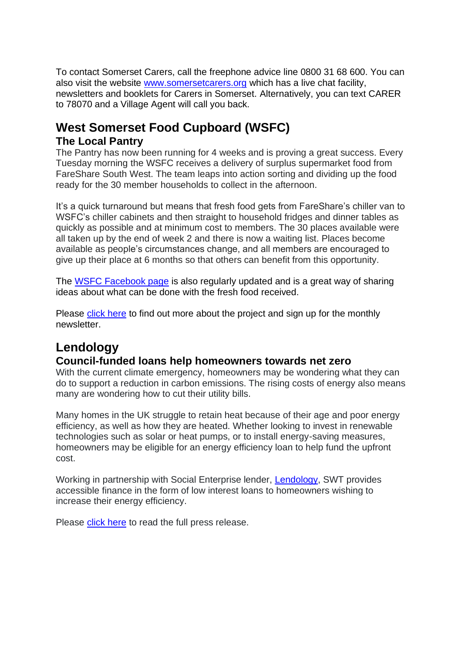To contact Somerset Carers, call the freephone advice line 0800 31 68 600. You can also visit the website [www.somersetcarers.org](http://www.somersetcarers.org/) which has a live chat facility, newsletters and booklets for Carers in Somerset. Alternatively, you can text CARER to 78070 and a Village Agent will call you back.

## **West Somerset Food Cupboard (WSFC) The Local Pantry**

The Pantry has now been running for 4 weeks and is proving a great success. Every Tuesday morning the WSFC receives a delivery of surplus supermarket food from FareShare South West. The team leaps into action sorting and dividing up the food ready for the 30 member households to collect in the afternoon.

It's a quick turnaround but means that fresh food gets from FareShare's chiller van to WSFC's chiller cabinets and then straight to household fridges and dinner tables as quickly as possible and at minimum cost to members. The 30 places available were all taken up by the end of week 2 and there is now a waiting list. Places become available as people's circumstances change, and all members are encouraged to give up their place at 6 months so that others can benefit from this opportunity.

The [WSFC Facebook page](https://www.facebook.com/WSfoodcupboard/) is also regularly updated and is a great way of sharing ideas about what can be done with the fresh food received.

Please [click here](https://www.wsfoodcupboard.org.uk/about/) to find out more about the project and sign up for the monthly newsletter.

## **Lendology**

#### **Council-funded loans help homeowners towards net zero**

With the current climate emergency, homeowners may be wondering what they can do to support a reduction in carbon emissions. The rising costs of energy also means many are wondering how to cut their utility bills.

Many homes in the UK struggle to retain heat because of their age and poor energy efficiency, as well as how they are heated. Whether looking to invest in renewable technologies such as solar or heat pumps, or to install energy-saving measures, homeowners may be eligible for an energy efficiency loan to help fund the upfront cost.

Working in partnership with Social Enterprise lender, [Lendology,](https://www.lendology.org.uk/) SWT provides accessible finance in the form of low interest loans to homeowners wishing to increase their energy efficiency.

Please [click here](https://www.somersetwestandtaunton.gov.uk/news/council-funded-loans-help-homeowners-towards-net-zero/) to read the full press release.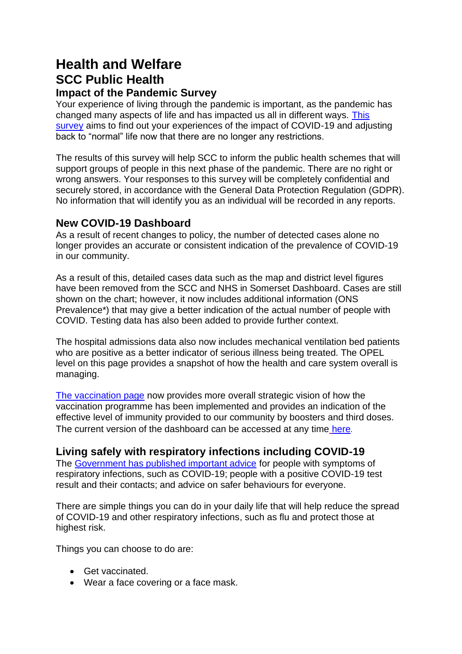## **Health and Welfare SCC Public Health Impact of the Pandemic Survey**

Your experience of living through the pandemic is important, as the pandemic has changed many aspects of life and has impacted us all in different ways. [This](https://forms.office.com/pages/responsepage.aspx?id=BvYktXr3okqNov5wNDsMzh5k5RcySRhPsihpZmpi88RUNE1OUzBXSTNNWENEWko1TUNONEsyQlNZSC4u)  [survey](https://forms.office.com/pages/responsepage.aspx?id=BvYktXr3okqNov5wNDsMzh5k5RcySRhPsihpZmpi88RUNE1OUzBXSTNNWENEWko1TUNONEsyQlNZSC4u) aims to find out your experiences of the impact of COVID-19 and adjusting back to "normal" life now that there are no longer any restrictions.

The results of this survey will help SCC to inform the public health schemes that will support groups of people in this next phase of the pandemic. There are no right or wrong answers. Your responses to this survey will be completely confidential and securely stored, in accordance with the General Data Protection Regulation (GDPR). No information that will identify you as an individual will be recorded in any reports.

#### **New COVID-19 Dashboard**

As a result of recent changes to policy, the number of detected cases alone no longer provides an accurate or consistent indication of the prevalence of COVID-19 in our community.

As a result of this, detailed cases data such as the map and district level figures have been removed from the SCC and NHS in Somerset Dashboard. Cases are still shown on the chart; however, it now includes additional information (ONS Prevalence\*) that may give a better indication of the actual number of people with COVID. Testing data has also been added to provide further context.

The hospital admissions data also now includes mechanical ventilation bed patients who are positive as a better indicator of serious illness being treated. The OPEL level on this page provides a snapshot of how the health and care system overall is managing.

[The vaccination page](https://www.somerset.gov.uk/coronavirus/coronavirus-vaccinations/) now provides more overall strategic vision of how the vaccination programme has been implemented and provides an indication of the effective level of immunity provided to our community by boosters and third doses. The current version of the dashboard can be accessed at any time [here](https://www.somerset.gov.uk/covid-19-dashboard/).

#### **Living safely with respiratory infections including COVID-19**

The [Government has published important advice](https://newsletters.onyx-sites.io/?mailpoet_router&endpoint=track&action=click&data=WyI2NjM2IiwidHRzeGVycTFtamtrY29nMGtvOGcwZ2trODRvZ2t3YzAiLCIxNDE5IiwiMTA5MGQ5NzhlMTg5IixmYWxzZV0) for people with symptoms of respiratory infections, such as COVID-19; people with a positive COVID-19 test result and their contacts; and advice on safer behaviours for everyone.

There are simple things you can do in your daily life that will help reduce the spread of COVID-19 and other respiratory infections, such as flu and protect those at highest risk.

Things you can choose to do are:

- Get vaccinated.
- Wear a face covering or a face mask.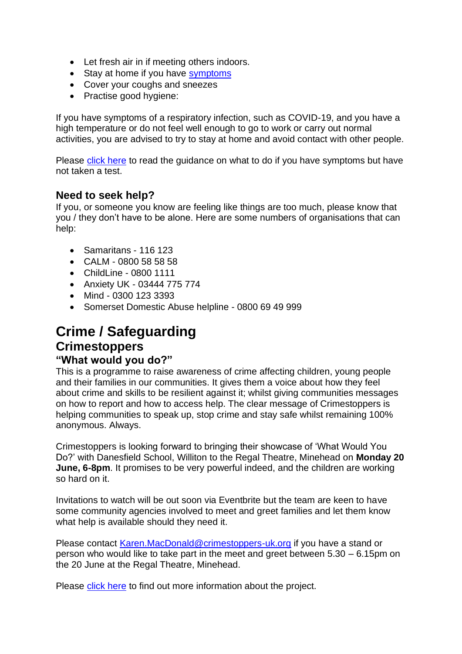- Let fresh air in if meeting others indoors.
- Stay at home if you have [symptoms](https://newsletters.onyx-sites.io/?mailpoet_router&endpoint=track&action=click&data=WyI1MjEiLCIxbWRhbWxvZnRhbjRnb2d3ODRrZ2s0azhzOHdzd3c0YyIsIjE0MTciLCI3MDMyNWYxYzNmODEiLGZhbHNlXQ)
- Cover your coughs and sneezes
- Practise good hygiene:

If you have symptoms of a respiratory infection, such as COVID-19, and you have a high temperature or do not feel well enough to go to work or carry out normal activities, you are advised to try to stay at home and avoid contact with other people.

Please [click here](https://www.gov.uk/guidance/people-with-symptoms-of-a-respiratory-infection-including-covid-19#what-to-do-if-you-have-symptoms-of-a-respiratory-infection-including-covid-19-and-have-not-taken-a-covid-19-test) to read the guidance on what to do if you have symptoms but have not taken a test.

#### **Need to seek help?**

If you, or someone you know are feeling like things are too much, please know that you / they don't have to be alone. Here are some numbers of organisations that can help:

- Samaritans 116 123
- CALM 0800 58 58 58
- ChildLine 0800 1111
- Anxiety UK 03444 775 774
- Mind 0300 123 3393
- Somerset Domestic Abuse helpline 0800 69 49 999

## **Crime / Safeguarding**

## **Crimestoppers**

#### **"What would you do?"**

This is a programme to raise awareness of crime affecting children, young people and their families in our communities. It gives them a voice about how they feel about crime and skills to be resilient against it; whilst giving communities messages on how to report and how to access help. The clear message of Crimestoppers is helping communities to speak up, stop crime and stay safe whilst remaining 100% anonymous. Always.

Crimestoppers is looking forward to bringing their showcase of 'What Would You Do?' with Danesfield School, Williton to the Regal Theatre, Minehead on **Monday 20 June, 6-8pm**. It promises to be very powerful indeed, and the children are working so hard on it.

Invitations to watch will be out soon via Eventbrite but the team are keen to have some community agencies involved to meet and greet families and let them know what help is available should they need it.

Please contact [Karen.MacDonald@crimestoppers-uk.org](mailto:Karen.MacDonald@crimestoppers-uk.org) if you have a stand or person who would like to take part in the meet and greet between 5.30 – 6.15pm on the 20 June at the Regal Theatre, Minehead.

Please [click here](https://crimestoppers-uk.org/about-the-charity/who-we-work-with/trusts-and-foundations/what-would-you-do?msclkid=33055d7cd07311ec9ad3ebecbc83ac0c) to find out more information about the project.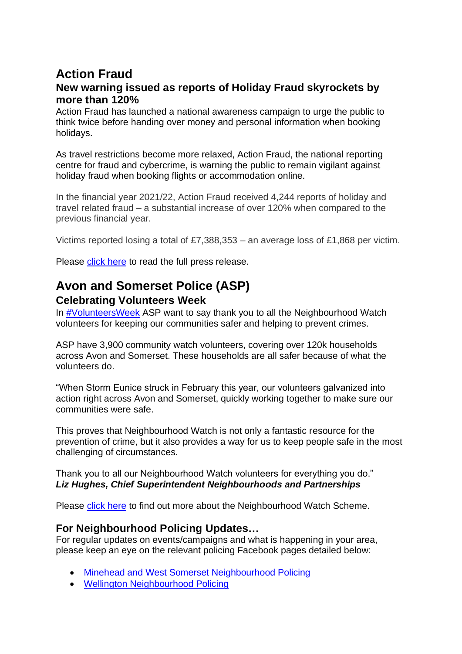## **Action Fraud**

#### **New warning issued as reports of Holiday Fraud skyrockets by more than 120%**

Action Fraud has launched a national awareness campaign to urge the public to think twice before handing over money and personal information when booking holidays.

As travel restrictions become more relaxed, Action Fraud, the national reporting centre for fraud and cybercrime, is warning the public to remain vigilant against holiday fraud when booking flights or accommodation online.

In the financial year 2021/22, Action Fraud received 4,244 reports of holiday and travel related fraud – a substantial increase of over 120% when compared to the previous financial year.

Victims reported losing a total of £7,388,353 – an average loss of £1,868 per victim.

Please [click here](https://www.actionfraud.police.uk/news/new-warning-issued-as-reports-of-holiday-fraud-skyrockets-by-more-than-120) to read the full press release.

# **Avon and Somerset Police (ASP)**

#### **Celebrating Volunteers Week**

In [#VolunteersWeek](https://www.facebook.com/hashtag/volunteersweek?__eep__=6&__cft__%5b0%5d=AZXF1Uxc-1088RqUe-HVT5YHtiiuxSgCzLAhJjsHlNr9_JS_N-38fjfcLSLW0l8-c4nD-32--Bz4O5vO1RkGbHoQo9RW8nwQTwVP_2EVtB1GTOa96pRoitPeZXRX4Kc6Ajn0Yo1ukDzfQfOk7eMUHMO5W_93eU-VU1q5gG5BIWRVI3ptm_UzGhR0zrLnX3DF6VQ&__tn__=*NK-R) ASP want to say thank you to all the Neighbourhood Watch volunteers for keeping our communities safer and helping to prevent crimes.

ASP have 3,900 community watch volunteers, covering over 120k households across Avon and Somerset. These households are all safer because of what the volunteers do.

"When Storm Eunice struck in February this year, our volunteers galvanized into action right across Avon and Somerset, quickly working together to make sure our communities were safe.

This proves that Neighbourhood Watch is not only a fantastic resource for the prevention of crime, but it also provides a way for us to keep people safe in the most challenging of circumstances.

Thank you to all our Neighbourhood Watch volunteers for everything you do." *Liz Hughes, Chief Superintendent Neighbourhoods and Partnerships*

Please [click here](https://www.avonandsomerset.police.uk/apply/neighbourhood-watch-scheme/?fbclid=IwAR1shZY7dS6JiJ65G6Gq4IyA06RoZINNQ2gNPaKbhz-iYFvalQDwRl5P1hE) to find out more about the Neighbourhood Watch Scheme.

#### **For Neighbourhood Policing Updates…**

For regular updates on events/campaigns and what is happening in your area, please keep an eye on the relevant policing Facebook pages detailed below:

- [Minehead and West Somerset Neighbourhood Policing](https://www.facebook.com/aspmineheadwestsomerset)
- [Wellington Neighbourhood Policing](https://www.facebook.com/aspwellington)